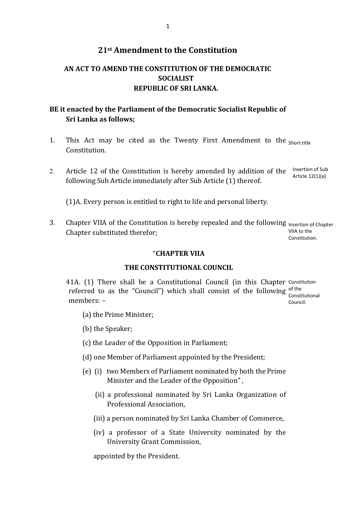# **21st Amendment to the Constitution**

# **AN ACT TO AMEND THE CONSTITUTION OF THE DEMOCRATIC SOCIALIST REPUBLIC OF SRI LANKA.**

## **BE it enacted by the Parliament of the Democratic Socialist Republic of Sri Lanka as follows;**

- 1. This Act may be cited as the Twenty First Amendment to the Short title Constitution.
- 2. Article 12 of the Constitution is hereby amended by addition of the Insertion of Sub following Sub Article immediately after Sub Article (1) thereof. Article 12(1)(a)

(1)A. Every person is entitled to right to life and personal liberty.

3. Chapter VIIA of the Constitution is hereby repealed and the following Insertion of Chapter Chapter substituted therefor; VIIA to the

Constitution.

#### "**CHAPTER VIIA**

### **THE CONSTITUTIONAL COUNCIL**

41A. (1) There shall be a Constitutional Council (in this Chapter Constitution referred to as the "Council") which shall consist of the following  $_{\text{const}}^{\text{of the}}$ members: – Constitutional Council.

- (a) the Prime Minister;
- (b) the Speaker;
- (c) the Leader of the Opposition in Parliament;
- (d) one Member of Parliament appointed by the President;
- (e) (i) two Members of Parliament nominated by both the Prime Minister and the Leader of the Opposition" ,
	- (ii) a professional nominated by Sri Lanka Organization of Professional Association,
	- (iii) a person nominated by Sri Lanka Chamber of Commerce,
	- (iv) a professor of a State University nominated by the University Grant Commission,

appointed by the President.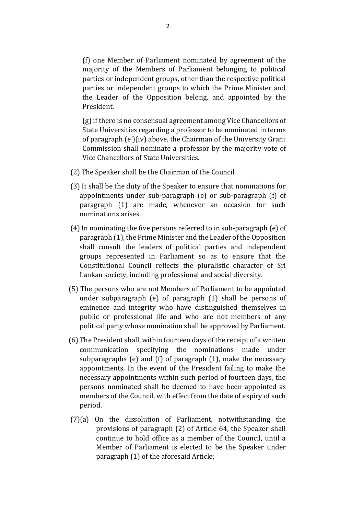(f) one Member of Parliament nominated by agreement of the majority of the Members of Parliament belonging to political parties or independent groups, other than the respective political parties or independent groups to which the Prime Minister and the Leader of the Opposition belong, and appointed by the President.

(g) if there is no consensual agreement among Vice Chancellors of State Universities regarding a professor to be nominated in terms of paragraph (e )(iv) above, the Chairman of the University Grant Commission shall nominate a professor by the majority vote of Vice Chancellors of State Universities.

- (2) The Speaker shall be the Chairman of the Council.
- (3) It shall be the duty of the Speaker to ensure that nominations for appointments under sub-paragraph (e) or sub-paragraph (f) of paragraph (1) are made, whenever an occasion for such nominations arises.
- (4) In nominating the five persons referred to in sub-paragraph (e) of paragraph (1), the Prime Minister and the Leader of the Opposition shall consult the leaders of political parties and independent groups represented in Parliament so as to ensure that the Constitutional Council reflects the pluralistic character of Sri Lankan society, including professional and social diversity.
- (5) The persons who are not Members of Parliament to be appointed under subparagraph (e) of paragraph (1) shall be persons of eminence and integrity who have distinguished themselves in public or professional life and who are not members of any political party whose nomination shall be approved by Parliament.
- (6) The President shall, within fourteen days of the receipt of a written communication specifying the nominations made under subparagraphs (e) and (f) of paragraph (1), make the necessary appointments. In the event of the President failing to make the necessary appointments within such period of fourteen days, the persons nominated shall be deemed to have been appointed as members of the Council, with effect from the date of expiry of such period.
- (7)(a) On the dissolution of Parliament, notwithstanding the provisions of paragraph (2) of Article 64, the Speaker shall continue to hold office as a member of the Council, until a Member of Parliament is elected to be the Speaker under paragraph (1) of the aforesaid Article;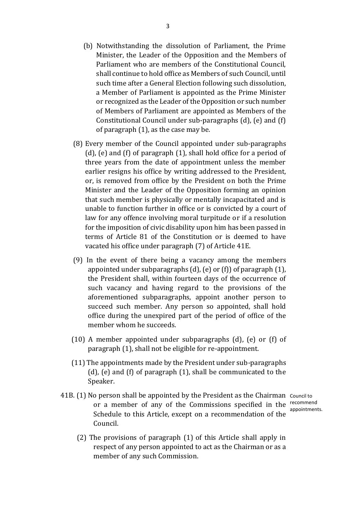- (b) Notwithstanding the dissolution of Parliament, the Prime Minister, the Leader of the Opposition and the Members of Parliament who are members of the Constitutional Council, shall continue to hold office as Members of such Council, until such time after a General Election following such dissolution, a Member of Parliament is appointed as the Prime Minister or recognized as the Leader of the Opposition or such number of Members of Parliament are appointed as Members of the Constitutional Council under sub-paragraphs (d), (e) and (f) of paragraph (1), as the case may be.
- (8) Every member of the Council appointed under sub-paragraphs (d), (e) and (f) of paragraph (1), shall hold office for a period of three years from the date of appointment unless the member earlier resigns his office by writing addressed to the President, or, is removed from office by the President on both the Prime Minister and the Leader of the Opposition forming an opinion that such member is physically or mentally incapacitated and is unable to function further in office or is convicted by a court of law for any offence involving moral turpitude or if a resolution for the imposition of civic disability upon him has been passed in terms of Article 81 of the Constitution or is deemed to have vacated his office under paragraph (7) of Article 41E.
- (9) In the event of there being a vacancy among the members appointed under subparagraphs (d), (e) or (f)) of paragraph (1), the President shall, within fourteen days of the occurrence of such vacancy and having regard to the provisions of the aforementioned subparagraphs, appoint another person to succeed such member. Any person so appointed, shall hold office during the unexpired part of the period of office of the member whom he succeeds.
- (10) A member appointed under subparagraphs (d), (e) or (f) of paragraph (1), shall not be eligible for re-appointment.
- (11) The appointments made by the President under sub-paragraphs (d), (e) and (f) of paragraph (1), shall be communicated to the Speaker.
- 41B. (1) No person shall be appointed by the President as the Chairman Council to or a member of any of the Commissions specified in the recommend Schedule to this Article, except on a recommendation of the Council.
	- appointments.
	- (2) The provisions of paragraph (1) of this Article shall apply in respect of any person appointed to act as the Chairman or as a member of any such Commission.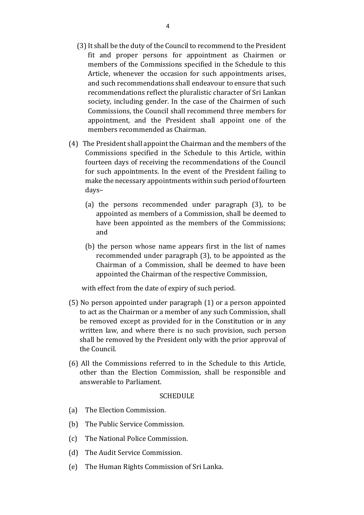- (3) It shall be the duty of the Council to recommend to the President fit and proper persons for appointment as Chairmen or members of the Commissions specified in the Schedule to this Article, whenever the occasion for such appointments arises, and such recommendations shall endeavour to ensure that such recommendations reflect the pluralistic character of Sri Lankan society, including gender. In the case of the Chairmen of such Commissions, the Council shall recommend three members for appointment, and the President shall appoint one of the members recommended as Chairman.
- (4) The President shall appoint the Chairman and the members of the Commissions specified in the Schedule to this Article, within fourteen days of receiving the recommendations of the Council for such appointments. In the event of the President failing to make the necessary appointments within such period of fourteen days–
	- (a) the persons recommended under paragraph (3), to be appointed as members of a Commission, shall be deemed to have been appointed as the members of the Commissions; and
	- (b) the person whose name appears first in the list of names recommended under paragraph (3), to be appointed as the Chairman of a Commission, shall be deemed to have been appointed the Chairman of the respective Commission,

with effect from the date of expiry of such period.

- (5) No person appointed under paragraph (1) or a person appointed to act as the Chairman or a member of any such Commission, shall be removed except as provided for in the Constitution or in any written law, and where there is no such provision, such person shall be removed by the President only with the prior approval of the Council.
- (6) All the Commissions referred to in the Schedule to this Article, other than the Election Commission, shall be responsible and answerable to Parliament.

#### **SCHEDULE**

- (a) The Election Commission.
- (b) The Public Service Commission.
- (c) The National Police Commission.
- (d) The Audit Service Commission.
- (e) The Human Rights Commission of Sri Lanka.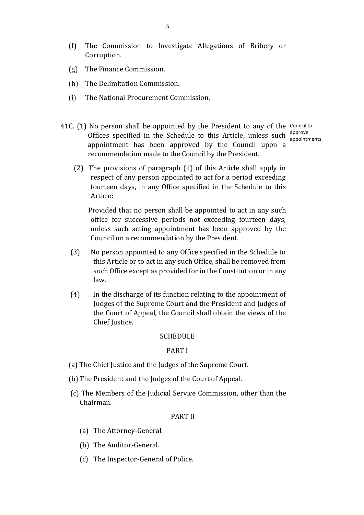- (f) The Commission to Investigate Allegations of Bribery or Corruption.
- (g) The Finance Commission.
- (h) The Delimitation Commission.
- (i) The National Procurement Commission.
- 41C. (1) No person shall be appointed by the President to any of the Council to Offices specified in the Schedule to this Article, unless such  $\frac{\text{approx}}{\text{approx}}$ appointment has been approved by the Council upon a recommendation made to the Council by the President. appointments.
	- (2) The provisions of paragraph (1) of this Article shall apply in respect of any person appointed to act for a period exceeding fourteen days, in any Office specified in the Schedule to this Article:

 Provided that no person shall be appointed to act in any such office for successive periods not exceeding fourteen days, unless such acting appointment has been approved by the Council on a recommendation by the President.

- (3) No person appointed to any Office specified in the Schedule to this Article or to act in any such Office, shall be removed from such Office except as provided for in the Constitution or in any law.
- (4) In the discharge of its function relating to the appointment of Judges of the Supreme Court and the President and Judges of the Court of Appeal, the Council shall obtain the views of the Chief Justice.

#### **SCHEDULE**

#### PART I

- (a) The Chief Justice and the Judges of the Supreme Court.
- (b) The President and the Judges of the Court of Appeal.
- (c) The Members of the Judicial Service Commission, other than the Chairman.

#### PART II

- (a) The Attorney-General.
- (b) The Auditor-General.
- (c) The Inspector-General of Police.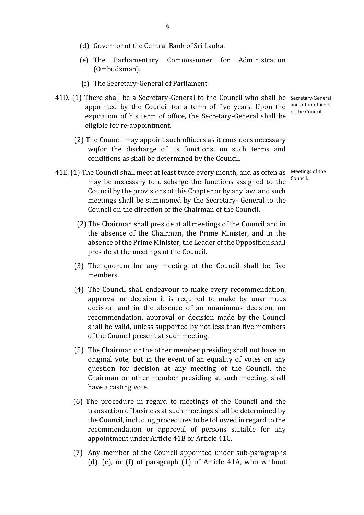- (d) Governor of the Central Bank of Sri Lanka.
- (e) The Parliamentary Commissioner for Administration (Ombudsman).
- (f) The Secretary-General of Parliament.
- 41D. (1) There shall be a Secretary-General to the Council who shall be Secretary-General appointed by the Council for a term of five years. Upon the  $\frac{1}{2}$  and other officers expiration of his term of office, the Secretary-General shall be eligible for re-appointment.
	- (2) The Council may appoint such officers as it considers necessary wqfor the discharge of its functions, on such terms and conditions as shall be determined by the Council.
- 41E. (1) The Council shall meet at least twice every month, and as often as Meetings of the may be necessary to discharge the functions assigned to the Council by the provisions of this Chapter or by any law, and such meetings shall be summoned by the Secretary- General to the Council on the direction of the Chairman of the Council.
	- (2) The Chairman shall preside at all meetings of the Council and in the absence of the Chairman, the Prime Minister, and in the absence of the Prime Minister, the Leader of the Opposition shall preside at the meetings of the Council.
	- (3) The quorum for any meeting of the Council shall be five members.
	- (4) The Council shall endeavour to make every recommendation, approval or decision it is required to make by unanimous decision and in the absence of an unanimous decision, no recommendation, approval or decision made by the Council shall be valid, unless supported by not less than five members of the Council present at such meeting.
	- (5) The Chairman or the other member presiding shall not have an original vote, but in the event of an equality of votes on any question for decision at any meeting of the Council, the Chairman or other member presiding at such meeting, shall have a casting vote.
	- (6) The procedure in regard to meetings of the Council and the transaction of business at such meetings shall be determined by the Council, including procedures to be followed in regard to the recommendation or approval of persons suitable for any appointment under Article 41B or Article 41C.
	- (7) Any member of the Council appointed under sub-paragraphs (d), (e), or (f) of paragraph (1) of Article 41A, who without

of the Council.

Council.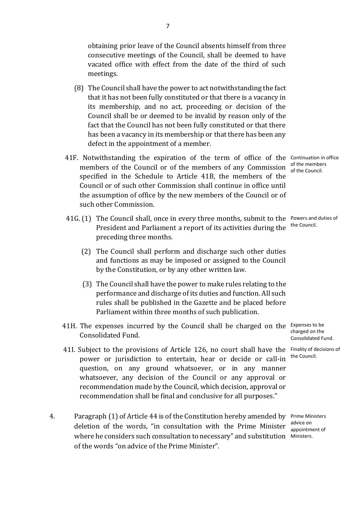obtaining prior leave of the Council absents himself from three consecutive meetings of the Council, shall be deemed to have vacated office with effect from the date of the third of such meetings.

- (8) The Council shall have the power to act notwithstanding the fact that it has not been fully constituted or that there is a vacancy in its membership, and no act, proceeding or decision of the Council shall be or deemed to be invalid by reason only of the fact that the Council has not been fully constituted or that there has been a vacancy in its membership or that there has been any defect in the appointment of a member.
- 41F. Notwithstanding the expiration of the term of office of the Continuation in office members of the Council or of the members of any Commission of the members specified in the Schedule to Article 41B, the members of the Council or of such other Commission shall continue in office until the assumption of office by the new members of the Council or of such other Commission.
- 41G. (1) The Council shall, once in every three months, submit to the Powers and duties of President and Parliament a report of its activities during the preceding three months. the Council.
	- (2) The Council shall perform and discharge such other duties and functions as may be imposed or assigned to the Council by the Constitution, or by any other written law.
	- (3) The Council shall have the power to make rules relating to the performance and discharge of its duties and function. All such rules shall be published in the Gazette and be placed before Parliament within three months of such publication.
- 41H. The expenses incurred by the Council shall be charged on the Expenses to be Consolidated Fund.
- 41I. Subject to the provisions of Article 126, no court shall have the Finality of decisions of power or jurisdiction to entertain, hear or decide or call-in question, on any ground whatsoever, or in any manner whatsoever, any decision of the Council or any approval or recommendation made by the Council, which decision, approval or recommendation shall be final and conclusive for all purposes."
- 4. Paragraph (1) of Article 44 is of the Constitution hereby amended by Prime Ministers deletion of the words, "in consultation with the Prime Minister  $\frac{advice}{anpoint}$ where he considers such consultation to necessary" and substitution Ministers.of the words "on advice of the Prime Minister".

of the Council.

charged on the Consolidated Fund.

the Council.

appointment of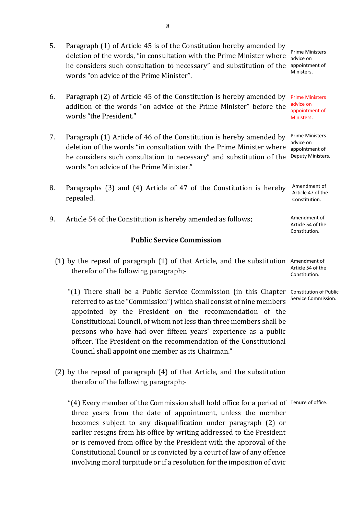8

- 5. Paragraph (1) of Article 45 is of the Constitution hereby amended by deletion of the words, "in consultation with the Prime Minister where he considers such consultation to necessary" and substitution of the appointment of words "on advice of the Prime Minister".
- 6. Paragraph (2) of Article 45 of the Constitution is hereby amended by Prime Ministers addition of the words "on advice of the Prime Minister" before the words "the President." advice on Ministers.
- 7. Paragraph (1) Article of 46 of the Constitution is hereby amended by deletion of the words "in consultation with the Prime Minister where he considers such consultation to necessary" and substitution of the words "on advice of the Prime Minister."
- 8. Paragraphs (3) and (4) Article of 47 of the Constitution is hereby repealed. 9. Article 54 of the Constitution is hereby amended as follows; Amendment of Article 54 of the Amendment of Article 47 of the Constitution.

## **Public Service Commission**

(1) by the repeal of paragraph (1) of that Article, and the substitution Amendment of therefor of the following paragraph;- Article 54 of the Constitution.

 "(1) There shall be a Public Service Commission (in this Chapter Constitution of Public referred to as the "Commission") which shall consist of nine members appointed by the President on the recommendation of the Constitutional Council, of whom not less than three members shall be persons who have had over fifteen years' experience as a public officer. The President on the recommendation of the Constitutional Council shall appoint one member as its Chairman."

(2) by the repeal of paragraph (4) of that Article, and the substitution therefor of the following paragraph;-

 "(4) Every member of the Commission shall hold office for a period of Tenure of office. three years from the date of appointment, unless the member becomes subject to any disqualification under paragraph (2) or earlier resigns from his office by writing addressed to the President or is removed from office by the President with the approval of the Constitutional Council or is convicted by a court of law of any offence involving moral turpitude or if a resolution for the imposition of civic

Prime Ministers advice on Ministers.

appointment of

Prime Ministers advice on appointment of Deputy Ministers.

Constitution.

Service Commission.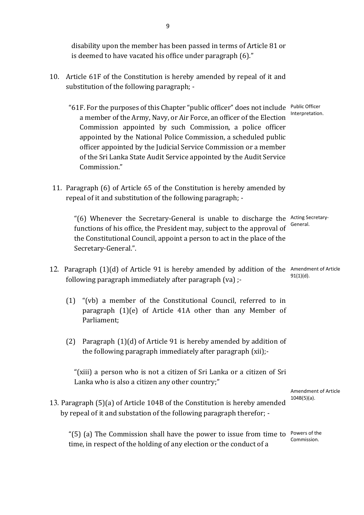disability upon the member has been passed in terms of Article 81 or is deemed to have vacated his office under paragraph (6)."

- 10. Article 61F of the Constitution is hereby amended by repeal of it and substitution of the following paragraph; -
	- "61F. For the purposes of this Chapter "public officer" does not include Public Officer a member of the Army, Navy, or Air Force, an officer of the Election Commission appointed by such Commission, a police officer appointed by the National Police Commission, a scheduled public officer appointed by the Judicial Service Commission or a member of the Sri Lanka State Audit Service appointed by the Audit Service Commission." Interpretation.
- 11. Paragraph (6) of Article 65 of the Constitution is hereby amended by repeal of it and substitution of the following paragraph; -

"(6) Whenever the Secretary-General is unable to discharge the Acting Secretaryfunctions of his office, the President may, subject to the approval of the Constitutional Council, appoint a person to act in the place of the Secretary-General.". General.

- 12. Paragraph (1)(d) of Article 91 is hereby amended by addition of the Amendment of Article following paragraph immediately after paragraph (va) ;- 91(1)(d).
	- (1) "(vb) a member of the Constitutional Council, referred to in paragraph (1)(e) of Article 41A other than any Member of Parliament;
	- (2) Paragraph (1)(d) of Article 91 is hereby amended by addition of the following paragraph immediately after paragraph (xii);-

"(xiii) a person who is not a citizen of Sri Lanka or a citizen of Sri Lanka who is also a citizen any other country;"

> Amendment of Article 104B(5)(a).

13. Paragraph (5)(a) of Article 104B of the Constitution is hereby amended by repeal of it and substation of the following paragraph therefor; -

" $(5)$  (a) The Commission shall have the power to issue from time to Powers of the time, in respect of the holding of any election or the conduct of a Commission.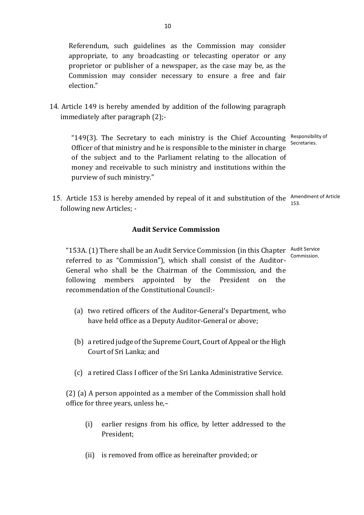Referendum, such guidelines as the Commission may consider appropriate, to any broadcasting or telecasting operator or any proprietor or publisher of a newspaper, as the case may be, as the Commission may consider necessary to ensure a free and fair election."

14. Article 149 is hereby amended by addition of the following paragraph immediately after paragraph (2);-

"149(3). The Secretary to each ministry is the Chief Accounting Responsibility of Officer of that ministry and he is responsible to the minister in charge of the subject and to the Parliament relating to the allocation of money and receivable to such ministry and institutions within the purview of such ministry." Secretaries.

15. Article 153 is hereby amended by repeal of it and substitution of the Amendment of Article following new Articles; - 153.

## **Audit Service Commission**

"153A. (1) There shall be an Audit Service Commission (in this Chapter Audit Service referred to as "Commission"), which shall consist of the Auditor-General who shall be the Chairman of the Commission, and the following members appointed by the President on the recommendation of the Constitutional Council:- Commission.

- (a) two retired officers of the Auditor-General's Department, who have held office as a Deputy Auditor-General or above;
- (b) a retired judge of the Supreme Court, Court of Appeal or the High Court of Sri Lanka; and
- (c) a retired Class I officer of the Sri Lanka Administrative Service.

(2) (a) A person appointed as a member of the Commission shall hold office for three years, unless he,–

- (i) earlier resigns from his office, by letter addressed to the President;
- (ii) is removed from office as hereinafter provided; or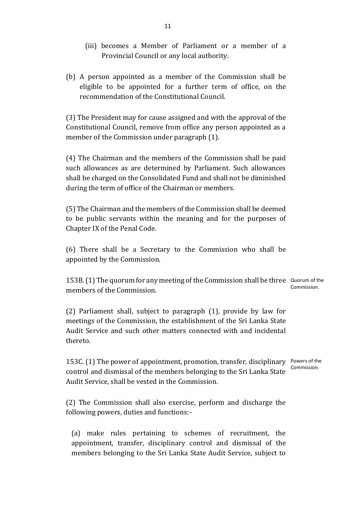- (iii) becomes a Member of Parliament or a member of a Provincial Council or any local authority.
- (b) A person appointed as a member of the Commission shall be eligible to be appointed for a further term of office, on the recommendation of the Constitutional Council.

(3) The President may for cause assigned and with the approval of the Constitutional Council, remove from office any person appointed as a member of the Commission under paragraph (1).

(4) The Chairman and the members of the Commission shall be paid such allowances as are determined by Parliament. Such allowances shall be charged on the Consolidated Fund and shall not be diminished during the term of office of the Chairman or members.

(5) The Chairman and the members of the Commission shall be deemed to be public servants within the meaning and for the purposes of Chapter IX of the Penal Code.

(6) There shall be a Secretary to the Commission who shall be appointed by the Commission.

153B. (1) The quorum for any meeting of the Commission shall be three Quorum of the members of the Commission. Commission.

(2) Parliament shall, subject to paragraph (1), provide by law for meetings of the Commission, the establishment of the Sri Lanka State Audit Service and such other matters connected with and incidental thereto.

153C. (1) The power of appointment, promotion, transfer, disciplinary Powers of the control and dismissal of the members belonging to the Sri Lanka State Audit Service, shall be vested in the Commission. Commission.

(2) The Commission shall also exercise, perform and discharge the following powers, duties and functions:-

(a) make rules pertaining to schemes of recruitment, the appointment, transfer, disciplinary control and dismissal of the members belonging to the Sri Lanka State Audit Service, subject to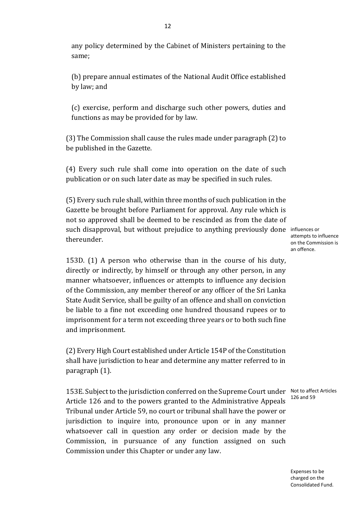any policy determined by the Cabinet of Ministers pertaining to the same;

(b) prepare annual estimates of the National Audit Office established by law; and

(c) exercise, perform and discharge such other powers, duties and functions as may be provided for by law.

(3) The Commission shall cause the rules made under paragraph (2) to be published in the Gazette.

(4) Every such rule shall come into operation on the date of such publication or on such later date as may be specified in such rules.

(5) Every such rule shall, within three months of such publication in the Gazette be brought before Parliament for approval. Any rule which is not so approved shall be deemed to be rescinded as from the date of such disapproval, but without prejudice to anything previously done influences or thereunder.

attempts to influence on the Commission is an offence.

153D. (1) A person who otherwise than in the course of his duty, directly or indirectly, by himself or through any other person, in any manner whatsoever, influences or attempts to influence any decision of the Commission, any member thereof or any officer of the Sri Lanka State Audit Service, shall be guilty of an offence and shall on conviction be liable to a fine not exceeding one hundred thousand rupees or to imprisonment for a term not exceeding three years or to both such fine and imprisonment.

(2) Every High Court established under Article 154P of the Constitution shall have jurisdiction to hear and determine any matter referred to in paragraph (1).

153E. Subject to the jurisdiction conferred on the Supreme Court under Not to affect Articles Article 126 and to the powers granted to the Administrative Appeals Tribunal under Article 59, no court or tribunal shall have the power or jurisdiction to inquire into, pronounce upon or in any manner whatsoever call in question any order or decision made by the Commission, in pursuance of any function assigned on such Commission under this Chapter or under any law.

126 and 59

Expenses to be charged on the Consolidated Fund.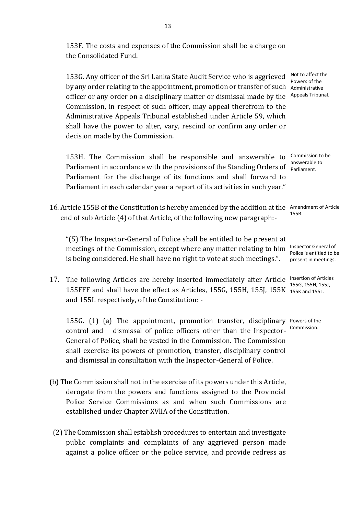153F. The costs and expenses of the Commission shall be a charge on the Consolidated Fund.

153G. Any officer of the Sri Lanka State Audit Service who is aggrieved by any order relating to the appointment, promotion or transfer of such Administrative officer or any order on a disciplinary matter or dismissal made by the Appeals Tribunal. Commission, in respect of such officer, may appeal therefrom to the Administrative Appeals Tribunal established under Article 59, which shall have the power to alter, vary, rescind or confirm any order or decision made by the Commission.

153H. The Commission shall be responsible and answerable to Commission to be Parliament in accordance with the provisions of the Standing Orders of **parliament** Parliament for the discharge of its functions and shall forward to Parliament in each calendar year a report of its activities in such year." Parliament.

16. Article 155B of the Constitution is hereby amended by the addition at the Amendment of Article end of sub Article (4) of that Article, of the following new paragraph:- 155B.

"(5) The Inspector-General of Police shall be entitled to be present at meetings of the Commission, except where any matter relating to him is being considered. He shall have no right to vote at such meetings.".

17. The following Articles are hereby inserted immediately after Article Insertion of Articles 155FFF and shall have the effect as Articles, 155G, 155H, 155J, 155K  $\frac{155K}{155K}$  and 155L. and 155L respectively, of the Constitution: -

155G. (1) (a) The appointment, promotion transfer, disciplinary Powers of the control and dismissal of police officers other than the Inspector-<sup>Commission.</sup> General of Police, shall be vested in the Commission. The Commission shall exercise its powers of promotion, transfer, disciplinary control and dismissal in consultation with the Inspector-General of Police.

- (b) The Commission shall not in the exercise of its powers under this Article, derogate from the powers and functions assigned to the Provincial Police Service Commissions as and when such Commissions are established under Chapter XVlIA of the Constitution.
- (2) The Commission shall establish procedures to entertain and investigate public complaints and complaints of any aggrieved person made against a police officer or the police service, and provide redress as

Not to affect the Powers of the

Inspector General of Police is entitled to be present in meetings.

155G, 155H, 155J,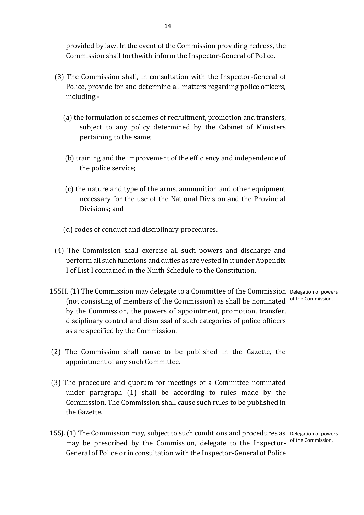provided by law. In the event of the Commission providing redress, the Commission shall forthwith inform the Inspector-General of Police.

- (3) The Commission shall, in consultation with the Inspector-General of Police, provide for and determine all matters regarding police officers, including:-
	- (a) the formulation of schemes of recruitment, promotion and transfers, subject to any policy determined by the Cabinet of Ministers pertaining to the same;
	- (b) training and the improvement of the efficiency and independence of the police service;
	- (c) the nature and type of the arms, ammunition and other equipment necessary for the use of the National Division and the Provincial Divisions; and
	- (d) codes of conduct and disciplinary procedures.
- (4) The Commission shall exercise all such powers and discharge and perform all such functions and duties as are vested in it under Appendix I of List I contained in the Ninth Schedule to the Constitution.
- 155H. (1) The Commission may delegate to a Committee of the Commission Delegation of powers (not consisting of members of the Commission) as shall be nominated by the Commission, the powers of appointment, promotion, transfer, disciplinary control and dismissal of such categories of police officers as are specified by the Commission. of the Commission.
- (2) The Commission shall cause to be published in the Gazette, the appointment of any such Committee.
- (3) The procedure and quorum for meetings of a Committee nominated under paragraph (1) shall be according to rules made by the Commission. The Commission shall cause such rules to be published in the Gazette.
- 155J. (1) The Commission may, subject to such conditions and procedures as Delegation of powers may be prescribed by the Commission, delegate to the Inspector- of the Commission. General of Police or in consultation with the Inspector-General of Police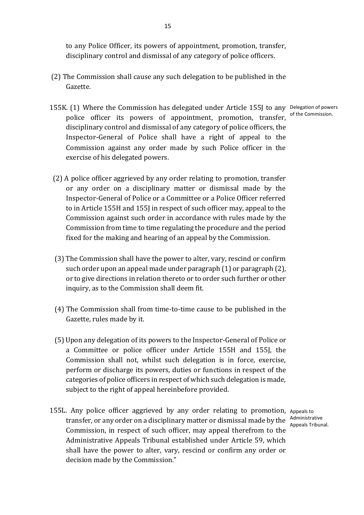to any Police Officer, its powers of appointment, promotion, transfer, disciplinary control and dismissal of any category of police officers.

- (2) The Commission shall cause any such delegation to be published in the Gazette.
- 155K. (1) Where the Commission has delegated under Article 155J to any Delegation of powers police officer its powers of appointment, promotion, transfer, disciplinary control and dismissal of any category of police officers, the Inspector-General of Police shall have a right of appeal to the Commission against any order made by such Police officer in the exercise of his delegated powers. of the Commission.
- (2) A police officer aggrieved by any order relating to promotion, transfer or any order on a disciplinary matter or dismissal made by the Inspector-General of Police or a Committee or a Police Officer referred to in Article 155H and 155J in respect of such officer may, appeal to the Commission against such order in accordance with rules made by the Commission from time to time regulating the procedure and the period fixed for the making and hearing of an appeal by the Commission.
- (3) The Commission shall have the power to alter, vary, rescind or confirm such order upon an appeal made under paragraph (1) or paragraph (2), or to give directions in relation thereto or to order such further or other inquiry, as to the Commission shall deem fit.
- (4) The Commission shall from time-to-time cause to be published in the Gazette, rules made by it.
- (5) Upon any delegation of its powers to the Inspector-General of Police or a Committee or police officer under Article 155H and 155J, the Commission shall not, whilst such delegation is in force, exercise, perform or discharge its powers, duties or functions in respect of the categories of police officers in respect of which such delegation is made, subject to the right of appeal hereinbefore provided.
- 155L. Any police officer aggrieved by any order relating to promotion, Appeals to transfer, or any order on a disciplinary matter or dismissal made by the Administrative Commission, in respect of such officer, may appeal therefrom to the Administrative Appeals Tribunal established under Article 59, which shall have the power to alter, vary, rescind or confirm any order or decision made by the Commission."

Appeals Tribunal.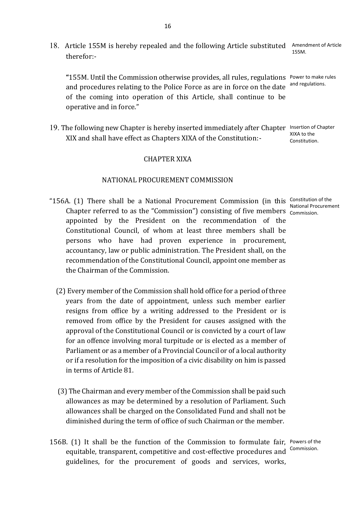18. Article 155M is hereby repealed and the following Article substituted Amendment of Article therefor:- 155M.

**"**155M. Until the Commission otherwise provides, all rules, regulations Power to make rules and procedures relating to the Police Force as are in force on the date <sup>and regulations.</sup> of the coming into operation of this Article, shall continue to be operative and in force."

19. The following new Chapter is hereby inserted immediately after Chapter Insertion of Chapter XIX and shall have effect as Chapters XIXA of the Constitution:- XIXA to the Constitution.

## CHAPTER XIXA

#### NATIONAL PROCUREMENT COMMISSION

- "156A. (1) There shall be a National Procurement Commission (in this Constitution of the Chapter referred to as the "Commission") consisting of five members commission. appointed by the President on the recommendation of the Constitutional Council, of whom at least three members shall be persons who have had proven experience in procurement, accountancy, law or public administration. The President shall, on the recommendation of the Constitutional Council, appoint one member as the Chairman of the Commission.
	- (2) Every member of the Commission shall hold office for a period of three years from the date of appointment, unless such member earlier resigns from office by a writing addressed to the President or is removed from office by the President for causes assigned with the approval of the Constitutional Council or is convicted by a court of law for an offence involving moral turpitude or is elected as a member of Parliament or as a member of a Provincial Council or of a local authority or if a resolution for the imposition of a civic disability on him is passed in terms of Article 81.
	- (3) The Chairman and every member of the Commission shall be paid such allowances as may be determined by a resolution of Parliament. Such allowances shall be charged on the Consolidated Fund and shall not be diminished during the term of office of such Chairman or the member.
- 156B. (1) It shall be the function of the Commission to formulate fair, Powers of the equitable, transparent, competitive and cost-effective procedures and <sup>Commission.</sup> guidelines, for the procurement of goods and services, works,

National Procurement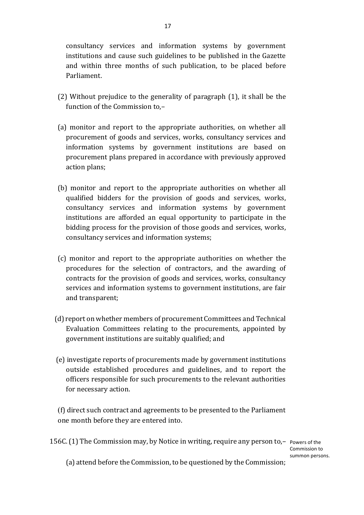consultancy services and information systems by government institutions and cause such guidelines to be published in the Gazette and within three months of such publication, to be placed before Parliament.

- (2) Without prejudice to the generality of paragraph (1), it shall be the function of the Commission to,–
- (a) monitor and report to the appropriate authorities, on whether all procurement of goods and services, works, consultancy services and information systems by government institutions are based on procurement plans prepared in accordance with previously approved action plans;
- (b) monitor and report to the appropriate authorities on whether all qualified bidders for the provision of goods and services, works, consultancy services and information systems by government institutions are afforded an equal opportunity to participate in the bidding process for the provision of those goods and services, works, consultancy services and information systems;
- (c) monitor and report to the appropriate authorities on whether the procedures for the selection of contractors, and the awarding of contracts for the provision of goods and services, works, consultancy services and information systems to government institutions, are fair and transparent;
- (d) report on whether members of procurement Committees and Technical Evaluation Committees relating to the procurements, appointed by government institutions are suitably qualified; and
- (e) investigate reports of procurements made by government institutions outside established procedures and guidelines, and to report the officers responsible for such procurements to the relevant authorities for necessary action.

( f) direct such contract and agreements to be presented to the Parliament one month before they are entered into.

156C. (1) The Commission may, by Notice in writing, require any person to,– Powers of the

Commission to summon persons.

(a) attend before the Commission, to be questioned by the Commission;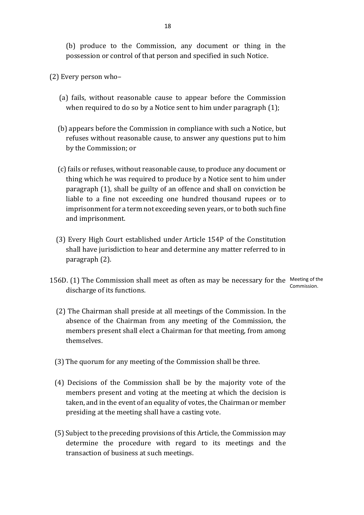(b) produce to the Commission, any document or thing in the possession or control of that person and specified in such Notice.

- (2) Every person who–
	- (a) fails, without reasonable cause to appear before the Commission when required to do so by a Notice sent to him under paragraph (1);
	- (b) appears before the Commission in compliance with such a Notice, but refuses without reasonable cause, to answer any questions put to him by the Commission; or
	- (c) fails or refuses, without reasonable cause, to produce any document or thing which he was required to produce by a Notice sent to him under paragraph (1), shall be guilty of an offence and shall on conviction be liable to a fine not exceeding one hundred thousand rupees or to imprisonment for a term not exceeding seven years, or to both such fine and imprisonment.
	- (3) Every High Court established under Article 154P of the Constitution shall have jurisdiction to hear and determine any matter referred to in paragraph (2).
- 156D. (1) The Commission shall meet as often as may be necessary for the Meeting of the discharge of its functions. Commission.
	- (2) The Chairman shall preside at all meetings of the Commission. In the absence of the Chairman from any meeting of the Commission, the members present shall elect a Chairman for that meeting, from among themselves.
	- (3) The quorum for any meeting of the Commission shall be three.
	- (4) Decisions of the Commission shall be by the majority vote of the members present and voting at the meeting at which the decision is taken, and in the event of an equality of votes, the Chairman or member presiding at the meeting shall have a casting vote.
	- (5) Subject to the preceding provisions of this Article, the Commission may determine the procedure with regard to its meetings and the transaction of business at such meetings.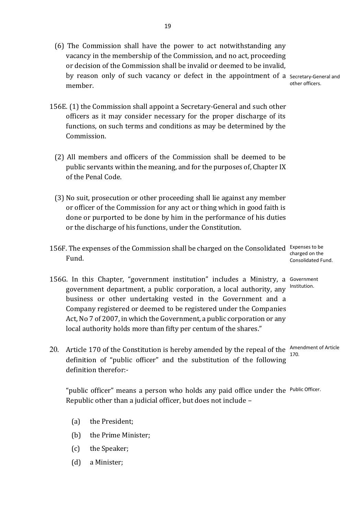(6) The Commission shall have the power to act notwithstanding any vacancy in the membership of the Commission, and no act, proceeding or decision of the Commission shall be invalid or deemed to be invalid, by reason only of such vacancy or defect in the appointment of a Secretary-General and member.

other officers.

- 156E. (1) the Commission shall appoint a Secretary-General and such other officers as it may consider necessary for the proper discharge of its functions, on such terms and conditions as may be determined by the Commission.
	- (2) All members and officers of the Commission shall be deemed to be public servants within the meaning, and for the purposes of, Chapter IX of the Penal Code.
	- (3) No suit, prosecution or other proceeding shall lie against any member or officer of the Commission for any act or thing which in good faith is done or purported to be done by him in the performance of his duties or the discharge of his functions, under the Constitution.
- 156F. The expenses of the Commission shall be charged on the Consolidated Expenses to be Fund.
- 156G. In this Chapter, "government institution" includes a Ministry, a Government government department, a public corporation, a local authority, any <sup>Institution.</sup> business or other undertaking vested in the Government and a Company registered or deemed to be registered under the Companies Act, No 7 of 2007, in which the Government, a public corporation or any local authority holds more than fifty per centum of the shares."
- 20. Article 170 of the Constitution is hereby amended by the repeal of the  $\frac{A_{\text{mendment}}}{A_{\text{max}}}$ definition of "public officer" and the substitution of the following definition therefor:- 170.

"public officer" means a person who holds any paid office under the Public Officer. Republic other than a judicial officer, but does not include –

- (a) the President;
- (b) the Prime Minister;
- (c) the Speaker;
- (d) a Minister;

19

charged on the Consolidated Fund.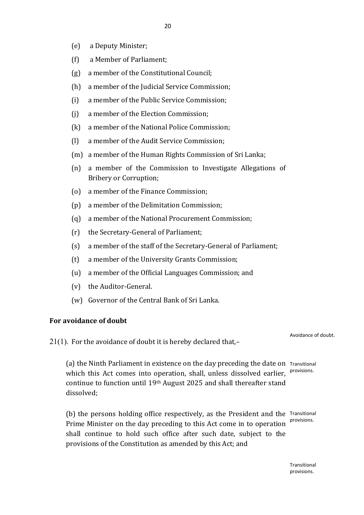- (e) a Deputy Minister;
- (f) a Member of Parliament;
- (g) a member of the Constitutional Council;
- (h) a member of the Judicial Service Commission;
- (i) a member of the Public Service Commission;
- (j) a member of the Election Commission;
- (k) a member of the National Police Commission;
- (l) a member of the Audit Service Commission;
- (m) a member of the Human Rights Commission of Sri Lanka;
- (n) a member of the Commission to Investigate Allegations of Bribery or Corruption;
- (o) a member of the Finance Commission;
- (p) a member of the Delimitation Commission;
- (q) a member of the National Procurement Commission;
- (r) the Secretary-General of Parliament;
- (s) a member of the staff of the Secretary-General of Parliament;
- (t) a member of the University Grants Commission;
- (u) a member of the Official Languages Commission; and
- (v) the Auditor-General.
- (w) Governor of the Central Bank of Sri Lanka.

## **For avoidance of doubt**

21(1). For the avoidance of doubt it is hereby declared that,–

Avoidance of doubt.

(a) the Ninth Parliament in existence on the day preceding the date on Transitional which this Act comes into operation, shall, unless dissolved earlier, <sup>provisions.</sup> continue to function until 19th August 2025 and shall thereafter stand dissolved;

(b) the persons holding office respectively, as the President and the Transitional Prime Minister on the day preceding to this Act come in to operation shall continue to hold such office after such date, subject to the provisions of the Constitution as amended by this Act; and provisions.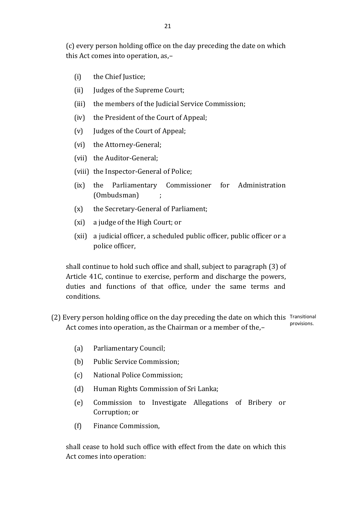(c) every person holding office on the day preceding the date on which this Act comes into operation, as,–

- (i) the Chief Justice;
- (ii) Judges of the Supreme Court;
- (iii) the members of the Judicial Service Commission;
- (iv) the President of the Court of Appeal;
- (v) Judges of the Court of Appeal;
- (vi) the Attorney-General;
- (vii) the Auditor-General;
- (viii) the Inspector-General of Police;
- (ix) the Parliamentary Commissioner for Administration (Ombudsman) ;
- (x) the Secretary-General of Parliament;
- (xi) a judge of the High Court; or
- (xii) a judicial officer, a scheduled public officer, public officer or a police officer,

shall continue to hold such office and shall, subject to paragraph (3) of Article 41C, continue to exercise, perform and discharge the powers, duties and functions of that office, under the same terms and conditions.

- (2) Every person holding office on the day preceding the date on which this Transitional Act comes into operation, as the Chairman or a member of the,– provisions.
	- (a) Parliamentary Council;
	- (b) Public Service Commission;
	- (c) National Police Commission;
	- (d) Human Rights Commission of Sri Lanka;
	- (e) Commission to Investigate Allegations of Bribery or Corruption; or
	- (f) Finance Commission,

shall cease to hold such office with effect from the date on which this Act comes into operation: